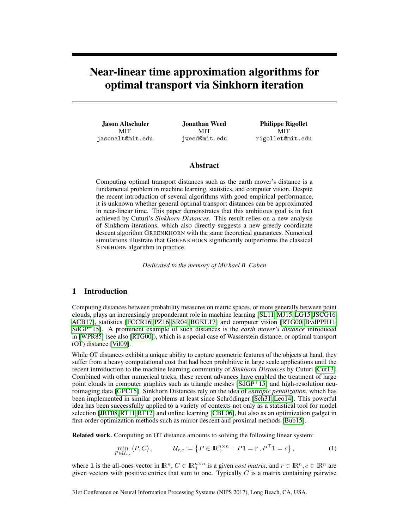# Near-linear time approximation algorithms for optimal transport via Sinkhorn iteration

Jason Altschuler **MIT** jasonalt@mit.edu

Jonathan Weed **MIT** jweed@mit.edu

Philippe Rigollet MIT rigollet@mit.edu

# Abstract

Computing optimal transport distances such as the earth mover's distance is a fundamental problem in machine learning, statistics, and computer vision. Despite the recent introduction of several algorithms with good empirical performance, it is unknown whether general optimal transport distances can be approximated in near-linear time. This paper demonstrates that this ambitious goal is in fact achieved by Cuturi's *Sinkhorn Distances*. This result relies on a new analysis of Sinkhorn iterations, which also directly suggests a new greedy coordinate descent algorithm GREENKHORN with the same theoretical guarantees. Numerical simulations illustrate that GREENKHORN significantly outperforms the classical SINKHORN algorithm in practice.

*Dedicated to the memory of Michael B. Cohen*

# 1 Introduction

Computing distances between probability measures on metric spaces, or more generally between point clouds, plays an increasingly preponderant role in machine learning [SL11,MJ15, LG15, JSCG16, ACB17], statistics [FCCR16, PZ16, SR04, BGKL17] and computer vision [RTG00, BvdPPH11, SdGP<sup>+</sup>15]. A prominent example of such distances is the *earth mover's distance* introduced in [WPR85] (see also [RTG00]), which is a special case of Wasserstein distance, or optimal transport (OT) distance [Vil09].

While OT distances exhibit a unique ability to capture geometric features of the objects at hand, they suffer from a heavy computational cost that had been prohibitive in large scale applications until the recent introduction to the machine learning community of *Sinkhorn Distances* by Cuturi [Cut13]. Combined with other numerical tricks, these recent advances have enabled the treatment of large point clouds in computer graphics such as triangle meshes [SdGP<sup>+</sup>15] and high-resolution neuroimaging data [GPC15]. Sinkhorn Distances rely on the idea of *entropic penalization*, which has been implemented in similar problems at least since Schrödinger [Sch31, Leo14]. This powerful idea has been successfully applied to a variety of contexts not only as a statistical tool for model selection [JRT08,RT11,RT12] and online learning [CBL06], but also as an optimization gadget in first-order optimization methods such as mirror descent and proximal methods [Bub15].

Related work. Computing an OT distance amounts to solving the following linear system:

$$
\min_{P \in \mathcal{U}_{r,c}} \langle P, C \rangle, \qquad \mathcal{U}_{r,c} := \left\{ P \in \mathbb{R}^{n \times n}_+ : P \mathbf{1} = r, P^\top \mathbf{1} = c \right\},\tag{1}
$$

where 1 is the all-ones vector in  $\mathbb{R}^n$ ,  $C \in \mathbb{R}_+^{n \times n}$  is a given *cost matrix*, and  $r \in \mathbb{R}^n$ ,  $c \in \mathbb{R}^n$  are given vectors with positive entries that sum to one. Typically  $C$  is a matrix containing pairwise

31st Conference on Neural Information Processing Systems (NIPS 2017), Long Beach, CA, USA.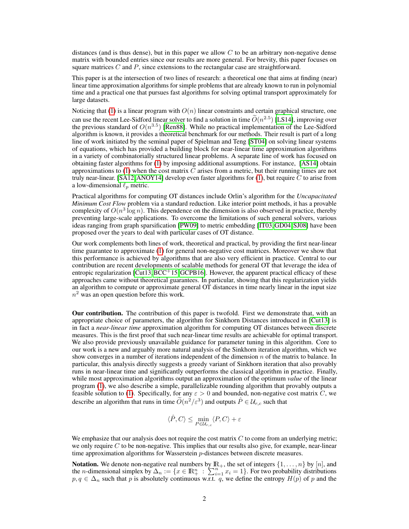distances (and is thus dense), but in this paper we allow  $C$  to be an arbitrary non-negative dense matrix with bounded entries since our results are more general. For brevity, this paper focuses on square matrices  $C$  and  $P$ , since extensions to the rectangular case are straightforward.

This paper is at the intersection of two lines of research: a theoretical one that aims at finding (near) linear time approximation algorithms for simple problems that are already known to run in polynomial time and a practical one that pursues fast algorithms for solving optimal transport approximately for large datasets.

Noticing that (1) is a linear program with  $O(n)$  linear constraints and certain graphical structure, one can use the recent Lee-Sidford linear solver to find a solution in time  $\tilde{O}(n^{2.5})$  [LS14], improving over the previous standard of  $O(n^{3.5})$  [Ren88]. While no practical implementation of the Lee-Sidford algorithm is known, it provides a theoretical benchmark for our methods. Their result is part of a long line of work initiated by the seminal paper of Spielman and Teng [ST04] on solving linear systems of equations, which has provided a building block for near-linear time approximation algorithms in a variety of combinatorially structured linear problems. A separate line of work has focused on obtaining faster algorithms for (1) by imposing additional assumptions. For instance, [AS14] obtain approximations to  $(1)$  when the cost matrix C arises from a metric, but their running times are not truly near-linear. [SA12, ANOY14] develop even faster algorithms for  $(1)$ , but require C to arise from a low-dimensional  $\ell_p$  metric.

Practical algorithms for computing OT distances include Orlin's algorithm for the *Uncapacitated Minimum Cost Flow* problem via a standard reduction. Like interior point methods, it has a provable complexity of  $O(n^3 \log n)$ . This dependence on the dimension is also observed in practice, thereby preventing large-scale applications. To overcome the limitations of such general solvers, various ideas ranging from graph sparsification [PW09] to metric embedding [IT03, GD04, SJ08] have been proposed over the years to deal with particular cases of OT distance.

Our work complements both lines of work, theoretical and practical, by providing the first near-linear time guarantee to approximate (1) for general non-negative cost matrices. Moreover we show that this performance is achieved by algorithms that are also very efficient in practice. Central to our contribution are recent developments of scalable methods for general OT that leverage the idea of entropic regularization  $\arctan{\text{Cut}}(3, \text{BCC}^+15, \text{GCPB16})$ . However, the apparent practical efficacy of these approaches came without theoretical guarantees. In particular, showing that this regularization yields an algorithm to compute or approximate general OT distances in time nearly linear in the input size  $n<sup>2</sup>$  was an open question before this work.

Our contribution. The contribution of this paper is twofold. First we demonstrate that, with an appropriate choice of parameters, the algorithm for Sinkhorn Distances introduced in [Cut13] is in fact a *near-linear time* approximation algorithm for computing OT distances between discrete measures. This is the first proof that such near-linear time results are achievable for optimal transport. We also provide previously unavailable guidance for parameter tuning in this algorithm. Core to our work is a new and arguably more natural analysis of the Sinkhorn iteration algorithm, which we show converges in a number of iterations independent of the dimension  $n$  of the matrix to balance. In particular, this analysis directly suggests a greedy variant of Sinkhorn iteration that also provably runs in near-linear time and significantly outperforms the classical algorithm in practice. Finally, while most approximation algorithms output an approximation of the optimum *value* of the linear program (1), we also describe a simple, parallelizable rounding algorithm that provably outputs a feasible solution to (1). Specifically, for any  $\varepsilon > 0$  and bounded, non-negative cost matrix C, we describe an algorithm that runs in time  $\widetilde{O}(n^2/\varepsilon^3)$  and outputs  $\hat{P} \in \mathcal{U}_{r,c}$  such that

$$
\langle \hat{P}, C \rangle \le \min_{P \in \mathcal{U}_{r,c}} \langle P, C \rangle + \varepsilon
$$

We emphasize that our analysis does not require the cost matrix  $C$  to come from an underlying metric; we only require  $C$  to be non-negative. This implies that our results also give, for example, near-linear time approximation algorithms for Wasserstein p-distances between discrete measures.

**Notation.** We denote non-negative real numbers by  $\mathbb{R}_+$ , the set of integers  $\{1, \ldots, n\}$  by  $[n]$ , and the *n*-dimensional simplex by  $\Delta_n := \{x \in \mathbb{R}^n_+ : \sum_{i=1}^n x_i = 1\}$ . For two probability distributions  $p, q \in \Delta_n$  such that p is absolutely continuous w.r.t. q, we define the entropy  $H(p)$  of p and the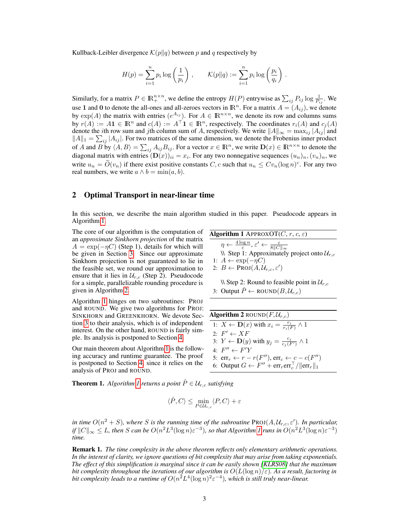Kullback-Leibler divergence  $\mathcal{K}(p||q)$  between p and q respectively by

$$
H(p) = \sum_{i=1}^{n} p_i \log \left(\frac{1}{p_i}\right), \qquad \mathcal{K}(p||q) := \sum_{i=1}^{n} p_i \log \left(\frac{p_i}{q_i}\right).
$$

Similarly, for a matrix  $P \in \mathbb{R}_+^{n \times n}$ , we define the entropy  $H(P)$  entrywise as  $\sum_{ij} P_{ij} \log \frac{1}{P_{ij}}$ . We use 1 and 0 to denote the all-ones and all-zeroes vectors in  $\mathbb{R}^n$ . For a matrix  $A = (A_{ij})$ , we denote by  $\exp(A)$  the matrix with entries  $(e^{A_{ij}})$ . For  $A \in \mathbb{R}^{n \times n}$ , we denote its row and columns sums by  $r(A) := A\mathbf{1} \in \mathbb{R}^n$  and  $c(A) := A^\top \mathbf{1} \in \mathbb{R}^n$ , respectively. The coordinates  $r_i(A)$  and  $c_j(A)$ denote the *i*th row sum and *j*th column sum of A, respectively. We write  $||A||_{\infty} = \max_{ij} |A_{ij}|$  and  $||A||_1 = \sum_{ij} |A_{ij}|$ . For two matrices of the same dimension, we denote the Frobenius inner product of A and B by  $\langle A, B \rangle = \sum_{ij} A_{ij} B_{ij}$ . For a vector  $x \in \mathbb{R}^n$ , we write  $\mathbf{D}(x) \in \mathbb{R}^{n \times n}$  to denote the diagonal matrix with entries  $(D(x))_{ii} = x_i$ . For any two nonnegative sequences  $(u_n)_n, (v_n)_n$ , we write  $u_n = O(v_n)$  if there exist positive constants  $C, c$  such that  $u_n \leq Cv_n (\log n)^c$ . For any two real numbers, we write  $a \wedge b = \min(a, b)$ .

# 2 Optimal Transport in near-linear time

In this section, we describe the main algorithm studied in this paper. Pseudocode appears in Algorithm 1.

The core of our algorithm is the computation of an *approximate Sinkhorn projection* of the matrix  $A = \exp(-\eta C)$  (Step 1), details for which will be given in Section 3. Since our approximate Sinkhorn projection is not guaranteed to lie in the feasible set, we round our approximation to ensure that it lies in  $\mathcal{U}_{r,c}$  (Step 2). Pseudocode for a simple, parallelizable rounding procedure is given in Algorithm 2.

Algorithm 1 hinges on two subroutines: PROJ and ROUND. We give two algorithms for PROJ: SINKHORN and GREENKHORN. We devote Section 3 to their analysis, which is of independent interest. On the other hand, ROUND is fairly simple. Its analysis is postponed to Section 4.

Our main theorem about Algorithm 1 is the following accuracy and runtime guarantee. The proof is postponed to Section 4, since it relies on the analysis of PROJ and ROUND.

| Algorithm 1 APPROXOT(C, r, c, \varepsilon)                                                                           |
|----------------------------------------------------------------------------------------------------------------------|
| $\eta \leftarrow \frac{4 \log n}{\varepsilon}, \varepsilon' \leftarrow \frac{\varepsilon}{8 \Vert C \Vert_{\infty}}$ |
| $\mathcal{N}$ Step 1: Approximately project onto $\mathcal{U}_{r,c}$                                                 |
| 1: $A \leftarrow \exp(-\eta C)$                                                                                      |
| 2: $B \leftarrow \text{PROJ}(A, \mathcal{U}_{r,c}, \varepsilon')$                                                    |

 $\setminus$  Step 2: Round to feasible point in  $\mathcal{U}_{r,c}$ 3: Output  $\hat{P} \leftarrow \text{ROUND}(B, \mathcal{U}_{r,c})$ 

| <b>Algorithm 2</b> ROUND $(F, \mathcal{U}_{r,c})$                                  |  |  |  |
|------------------------------------------------------------------------------------|--|--|--|
| 1: $X \leftarrow \mathbf{D}(x)$ with $x_i = \frac{r_i}{r_i(F)} \wedge 1$           |  |  |  |
| 2: $F' \leftarrow \overline{XF}$                                                   |  |  |  |
| 3: $Y \leftarrow \mathbf{D}(y)$ with $y_j = \frac{c_j}{c_i(F')}\wedge 1$           |  |  |  |
| $4 \cdot F'' \leftarrow F'Y$                                                       |  |  |  |
| 5: $\text{err}_r \leftarrow r - r(F'')$ , $\text{err}_c \leftarrow c - c(F'')$     |  |  |  |
| 6: Output $G \leftarrow F'' + \text{err}_r \text{err}_c^\top /   \text{err}_r  _1$ |  |  |  |

**Theorem 1.** *Algorithm 1 returns a point*  $\hat{P} \in \mathcal{U}_{r,c}$  *satisfying* 

$$
\langle \hat{P}, C \rangle \leq \min_{P \in \mathcal{U}_{r,c}} \langle P, C \rangle + \varepsilon
$$

*in time*  $O(n^2 + S)$ , where S is the running time of the subroutine PROJ $(A, \mathcal{U}_{r,c}, \varepsilon')$ . In particular,  $\|f\|C\|_\infty \leq L$ , then  $S$  can be  $O(n^2L^3(\log n)\varepsilon^{-3})$ , so that Algorithm 1 runs in  $O(n^2L^3(\log n)\varepsilon^{-3})$ *time.*

Remark 1. *The time complexity in the above theorem reflects only elementary arithmetic operations. In the interest of clarity, we ignore questions of bit complexity that may arise from taking exponentials. The effect of this simplification is marginal since it can be easily shown [KLRS08] that the maximum bit complexity throughout the iterations of our algorithm is*  $O(L(\log n)/\varepsilon)$ *. As a result, factoring in* bit complexity leads to a runtime of  $O(n^2L^4(\log n)^2\varepsilon^{-4})$ , which is still truly near-linear.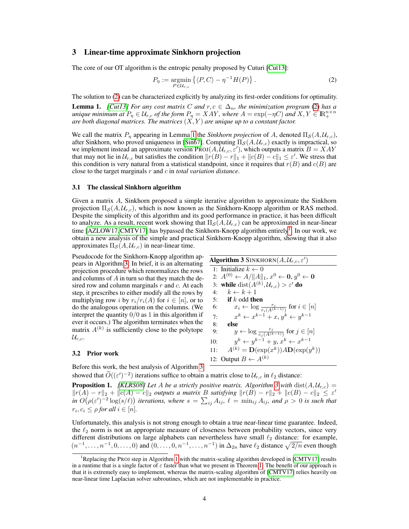# 3 Linear-time approximate Sinkhorn projection

The core of our OT algorithm is the entropic penalty proposed by Cuturi [Cut13]:

$$
P_{\eta} := \underset{P \in \mathcal{U}_{r,c}}{\operatorname{argmin}} \left\{ \langle P, C \rangle - \eta^{-1} H(P) \right\}.
$$
 (2)

The solution to (2) can be characterized explicitly by analyzing its first-order conditions for optimality.

**Lemma 1.** *[Cut13]* For any cost matrix C and  $r, c \in \Delta_n$ , the minimization program (2) has a *unique minimum at*  $P_{\eta} \in U_{r,c}$  *of the form*  $P_{\eta} = XAY$ , where  $A = \exp(-\eta C)$  and  $X, Y \in \mathbb{R}_+^{n \times n}$  are both diagonal matrices. The matrices  $(X, Y)$  are unique up to a constant factor.

We call the matrix  $P_n$  appearing in Lemma 1 the *Sinkhorn projection* of A, denoted  $\Pi_S(A, \mathcal{U}_{r,c})$ , after Sinkhorn, who proved uniqueness in [Sin67]. Computing  $\Pi_{\mathcal{S}}(A, U_{r,c})$  exactly is impractical, so we implement instead an approximate version PROJ $(A, \mathcal{U}_{r,c}, \varepsilon')$ , which outputs a matrix  $B = XAY$ that may not lie in  $\mathcal{U}_{r,c}$  but satisfies the condition  $||r(B) - r||_1 + ||c(B) - c||_1 \leq \varepsilon'$ . We stress that this condition is very natural from a statistical standpoint, since it requires that  $r(B)$  and  $c(B)$  are close to the target marginals r and c in *total variation distance*.

#### 3.1 The classical Sinkhorn algorithm

Given a matrix A, Sinkhorn proposed a simple iterative algorithm to approximate the Sinkhorn projection  $\Pi_{\mathcal{S}}(A, U_{r,c})$ , which is now known as the Sinkhorn-Knopp algorithm or RAS method. Despite the simplicity of this algorithm and its good performance in practice, it has been difficult to analyze. As a result, recent work showing that  $\Pi_{\mathcal{S}}(A, \mathcal{U}_{r,c})$  can be approximated in near-linear time [AZLOW17, CMTV17] has bypassed the Sinkhorn-Knopp algorithm entirely<sup>1</sup>. In our work, we obtain a new analysis of the simple and practical Sinkhorn-Knopp algorithm, showing that it also approximates  $\Pi_{\mathcal{S}}(A, \mathcal{U}_{r,c})$  in near-linear time.

Pseudocode for the Sinkhorn-Knopp algorithm appears in Algorithm 3. In brief, it is an alternating projection procedure which renormalizes the rows and columns of A in turn so that they match the desired row and column marginals  $r$  and  $c$ . At each step, it prescribes to either modify all the rows by multiplying row *i* by  $r_i/r_i(A)$  for  $i \in [n]$ , or to do the analogous operation on the columns. (We interpret the quantity  $0/0$  as 1 in this algorithm if ever it occurs.) The algorithm terminates when the matrix  $A^{(k)}$  is sufficiently close to the polytope  $\mathcal{U}_{r,c}.$ 

## 3.2 Prior work

Before this work, the best analysis of Algorithm 3

|     | 1: Initialize $k \leftarrow 0$                                          |
|-----|-------------------------------------------------------------------------|
|     | 2: $A^{(0)} \leftarrow A /   A  _1, x^0 \leftarrow 0, y^0 \leftarrow 0$ |
|     | 3: while dist( $A^{(k)}, \mathcal{U}_{r,c}$ ) > $\varepsilon'$ do       |
| 4:  | $k \leftarrow k+1$                                                      |
| 5:  | if $k$ odd then                                                         |
| 6:  | $x_i \leftarrow \log \frac{r_i}{r_i(A^{(k-1)})}$ for $i \in [n]$        |
| 7:  | $x^k \leftarrow x^{k-1} + x, y^k \leftarrow y^{k-1}$                    |
| 8:  | else                                                                    |
| 9:  | $y \leftarrow \log \frac{c_j}{c_i(A^{(k-1)})}$ for $j \in [n]$          |
| 10: | $y^{k} \leftarrow y^{k-1} + y, x^{k} \leftarrow x^{k-1}$                |
| 11: | $A^{(k)} = \mathbf{D}(\exp(x^k)) A \mathbf{D}(\exp(y^k))$               |

**Algorithm 3** SINKHORN $(A, \mathcal{U}_{r,c}, \varepsilon')$ 

12: Output  $B \leftarrow A^{(k)}$ 

showed that  $\widetilde{O}((\varepsilon')^{-2})$  iterations suffice to obtain a matrix close to  $\mathcal{U}_{r,c}$  in  $\ell_2$  distance:

**Proposition 1.** *[KLRS08] Let A be a strictly positive matrix. Algorithm 3 with*  $dist(A, U_{r,c}) =$  $||r(A) - r||_2 + ||c(A) - c||_2$  *outputs a matrix B satisfying*  $||r(B) - r||_2 + ||c(B) - c||_2 ≤ ε'$ *in*  $O(\rho(\varepsilon')^{-2} \log(s/\ell))$  *iterations, where*  $s = \sum_{ij} A_{ij}$ ,  $\ell = \min_{ij} A_{ij}$ , and  $\rho > 0$  *is such that*  $r_i, c_i \leq \rho$  for all  $i \in [n]$ .

Unfortunately, this analysis is not strong enough to obtain a true near-linear time guarantee. Indeed, the  $\ell_2$  norm is not an appropriate measure of closeness between probability vectors, since very different distributions on large alphabets can nevertheless have small  $\ell_2$  distance: for example,  $(n^{-1}, \ldots, n^{-1}, 0, \ldots, 0)$  and  $(0, \ldots, 0, n^{-1}, \ldots, n^{-1})$  in  $\Delta_{2n}$  have  $\ell_2$  distance  $\sqrt{2/n}$  even though

<sup>&</sup>lt;sup>1</sup>Replacing the PROJ step in Algorithm 1 with the matrix-scaling algorithm developed in [CMTV17] results in a runtime that is a single factor of  $\varepsilon$  faster than what we present in Theorem 1. The benefit of our approach is that it is extremely easy to implement, whereas the matrix-scaling algorithm of [CMTV17] relies heavily on near-linear time Laplacian solver subroutines, which are not implementable in practice.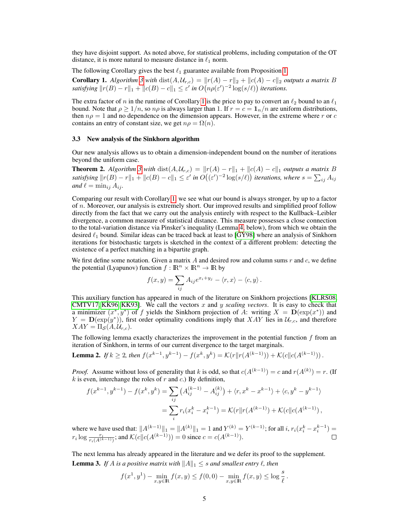they have disjoint support. As noted above, for statistical problems, including computation of the OT distance, it is more natural to measure distance in  $\ell_1$  norm.

The following Corollary gives the best  $\ell_1$  guarantee available from Proposition 1.

**Corollary 1.** *Algorithm* 3 *with* dist $(A, U_{r,c}) = ||r(A) - r||_2 + ||c(A) - c||_2$  *outputs a matrix* B *satisfying*  $||r(B) - r||_1 + ||c(B) - c||_1 \le \varepsilon'$  in  $O(n\rho(\varepsilon')^{-2} \log(s/\ell))$  iterations.

The extra factor of n in the runtime of Corollary 1 is the price to pay to convert an  $\ell_2$  bound to an  $\ell_1$ bound. Note that  $\rho \geq 1/n$ , so  $n\rho$  is always larger than 1. If  $r = c = 1/n/n$  are uniform distributions, then  $n\rho = 1$  and no dependence on the dimension appears. However, in the extreme where r or c contains an entry of constant size, we get  $n\rho = \Omega(n)$ .

#### 3.3 New analysis of the Sinkhorn algorithm

Our new analysis allows us to obtain a dimension-independent bound on the number of iterations beyond the uniform case.

**Theorem 2.** *Algorithm* 3 *with* dist $(A, U_{r,c}) = ||r(A) - r||_1 + ||c(A) - c||_1$  *outputs a matrix* B satisfying  $||r(B) - r||_1 + ||c(B) - c||_1 \leq \varepsilon'$  in  $O((\varepsilon')^{-2} \log(s/\ell))$  iterations, where  $s = \sum_{ij} A_{ij}$ *and*  $\ell = \min_{i} A_{ij}$ *.* 

Comparing our result with Corollary 1, we see what our bound is always stronger, by up to a factor of  $n$ . Moreover, our analysis is extremely short. Our improved results and simplified proof follow directly from the fact that we carry out the analysis entirely with respect to the Kullback–Leibler divergence, a common measure of statistical distance. This measure possesses a close connection to the total-variation distance via Pinsker's inequality (Lemma 4, below), from which we obtain the desired  $\ell_1$  bound. Similar ideas can be traced back at least to [GY98] where an analysis of Sinkhorn iterations for bistochastic targets is sketched in the context of a different problem: detecting the existence of a perfect matching in a bipartite graph.

We first define some notation. Given a matrix  $A$  and desired row and column sums  $r$  and  $c$ , we define the potential (Lyapunov) function  $f : \mathbb{R}^n \times \mathbb{R}^n \to \mathbb{R}$  by

$$
f(x,y) = \sum_{ij} A_{ij} e^{x_i + y_j} - \langle r, x \rangle - \langle c, y \rangle.
$$

This auxiliary function has appeared in much of the literature on Sinkhorn projections [KLRS08, CMTV17, KK96, KK93]. We call the vectors x and y *scaling vectors*. It is easy to check that a minimizer  $(x^*, y^*)$  of f yields the Sinkhorn projection of A: writing  $X = \mathbf{D}(\exp(x^*))$  and  $Y = \mathbf{D}(\exp(y^*))$ , first order optimality conditions imply that XAY lies in  $\mathcal{U}_{r,c}$ , and therefore  $XAY = \Pi_{\mathcal{S}}(A, \mathcal{U}_{r,c}).$ 

The following lemma exactly characterizes the improvement in the potential function  $f$  from an iteration of Sinkhorn, in terms of our current divergence to the target marginals.

**Lemma 2.** If 
$$
k \ge 2
$$
, then  $f(x^{k-1}, y^{k-1}) - f(x^k, y^k) = \mathcal{K}(r || r(A^{(k-1)})) + \mathcal{K}(c || c(A^{(k-1)}))$ .

*Proof.* Assume without loss of generality that k is odd, so that  $c(A^{(k-1)}) = c$  and  $r(A^{(k)}) = r$ . (If  $k$  is even, interchange the roles of r and c.) By definition,

$$
f(x^{k-1}, y^{k-1}) - f(x^k, y^k) = \sum_{ij} (A_{ij}^{(k-1)} - A_{ij}^{(k)}) + \langle r, x^k - x^{k-1} \rangle + \langle c, y^k - y^{k-1} \rangle
$$
  
= 
$$
\sum_i r_i (x_i^k - x_i^{k-1}) = \mathcal{K}(r || r(A^{(k-1)}) + \mathcal{K}(c || c(A^{(k-1)})),
$$

where we have used that:  $||A^{(k-1)}||_1 = ||A^{(k)}||_1 = 1$  and  $Y^{(k)} = Y^{(k-1)}$ ; for all  $i, r_i(x_i^k - x_i^{k-1}) =$  $r_i \log \frac{r_i}{r_i(A^{(k-1)})}$ ; and  $\mathcal{K}(c||c(A^{(k-1)})) = 0$  since  $c = c(A^{(k-1)})$ .

The next lemma has already appeared in the literature and we defer its proof to the supplement. **Lemma 3.** *If* A *is a positive matrix with*  $||A||_1 \leq s$  *and smallest entry*  $\ell$ *, then* 

$$
f(x^1, y^1) - \min_{x,y \in \mathbb{R}} f(x,y) \le f(0,0) - \min_{x,y \in \mathbb{R}} f(x,y) \le \log \frac{s}{\ell}.
$$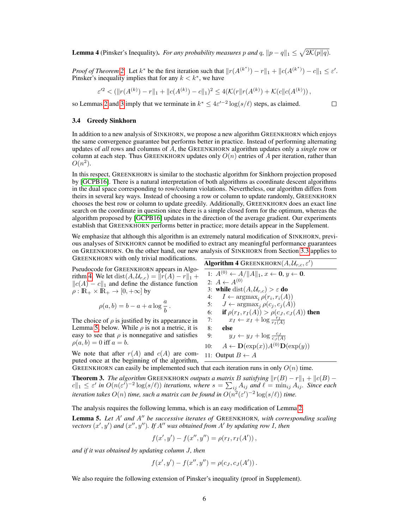**Lemma 4** (Pinsker's Inequality). *For any probability measures* p and q,  $||p - q||_1 \leq \sqrt{2\mathcal{K}(p||q)}$ .

*Proof of Theorem 2.* Let  $k^*$  be the first iteration such that  $||r(A^{(k^*)}) - r||_1 + ||c(A^{(k^*)}) - c||_1 \le \varepsilon'.$ Pinsker's inequality implies that for any  $k < k^*$ , we have

$$
\varepsilon'^2 < (\|r(A^{(k)}) - r\|_1 + \|c(A^{(k)}) - c\|_1)^2 \le 4(\mathcal{K}(r \| r(A^{(k)}) + \mathcal{K}(c \| c(A^{(k)})),
$$

so Lemmas 2 and 3 imply that we terminate in  $k^* \leq 4\varepsilon^{t-2} \log(s/\ell)$  steps, as claimed.

 $\Box$ 

## 3.4 Greedy Sinkhorn

In addition to a new analysis of SINKHORN, we propose a new algorithm GREENKHORN which enjoys the same convergence guarantee but performs better in practice. Instead of performing alternating updates of *all* rows and columns of A, the GREENKHORN algorithm updates only a *single* row or column at each step. Thus GREENKHORN updates only  $O(n)$  entries of A per iteration, rather than  $O(n^2)$ .

In this respect, GREENKHORN is similar to the stochastic algorithm for Sinkhorn projection proposed by [GCPB16]. There is a natural interpretation of both algorithms as coordinate descent algorithms in the dual space corresponding to row/column violations. Nevertheless, our algorithm differs from theirs in several key ways. Instead of choosing a row or column to update randomly, GREENKHORN chooses the best row or column to update greedily. Additionally, GREENKHORN does an exact line search on the coordinate in question since there is a simple closed form for the optimum, whereas the algorithm proposed by [GCPB16] updates in the direction of the average gradient. Our experiments establish that GREENKHORN performs better in practice; more details appear in the Supplement.

We emphasize that although this algorithm is an extremely natural modification of SINKHORN, previous analyses of SINKHORN cannot be modified to extract any meaningful performance guarantees on GREENKHORN. On the other hand, our new analysis of SINKHORN from Section 3.3 applies to GREENKHORN with only trivial modifications.

Pseudocode for GREENKHORN appears in Algorithm 4. We let dist( $A, U_{r,c}$ ) =  $||r(A) - r||_1 +$  $||c(A) - c||_1$  and define the distance function  $\rho : \mathbb{R}_+ \times \mathbb{R}_+ \to [0, +\infty]$  by

$$
\rho(a,b)=b-a+a\log\frac{a}{b}\,.
$$

The choice of  $\rho$  is justified by its appearance in Lemma 5, below. While  $\rho$  is not a metric, it is easy to see that  $\rho$  is nonnegative and satisfies  $\rho(a, b) = 0$  iff  $a = b$ .

We note that after  $r(A)$  and  $c(A)$  are computed once at the beginning of the algorithm,

| <b>Algorithm 4</b> GREENKHORN $(A, \mathcal{U}_{r,c}, \varepsilon')$ |  |  |  |
|----------------------------------------------------------------------|--|--|--|
| 1: $A^{(0)} \leftarrow A /   A  _1, x \leftarrow 0, y \leftarrow 0.$ |  |  |  |
| 2: $A \leftarrow A^{(0)}$                                            |  |  |  |
| 3: while dist( $A, U_{r,c}$ ) > $\varepsilon$ do                     |  |  |  |
| $I \leftarrow \arg\!\max_{i} \rho(r_i, r_i(A))$<br>4:                |  |  |  |
| $J \leftarrow \arg\!\max_{j} \rho(c_j, c_j(A))$<br>5:                |  |  |  |
| if $\rho(r_I, r_I(A)) > \rho(c_J, c_J(A))$ then<br>6:                |  |  |  |
| $x_I \leftarrow x_I + \log \frac{r_I}{r_I(A)}$<br>7:                 |  |  |  |
| else<br>8:                                                           |  |  |  |
| $y_J \leftarrow y_J + \log \frac{c_J}{c_I(A)}$<br>9:                 |  |  |  |
| $A \leftarrow \mathbf{D}(\exp(x))A^{(0)}\mathbf{D}(\exp(y))$<br>10:  |  |  |  |
| 11: Output $B \leftarrow A$                                          |  |  |  |
|                                                                      |  |  |  |

GREENKHORN can easily be implemented such that each iteration runs in only  $O(n)$  time.

**Theorem 3.** *The algorithm* GREENKHORN *outputs a matrix B satisfying*  $||r(B) - r||_1 + ||c(B) - r||_1$  $|c||_1 \leq \varepsilon'$  in  $O(n(\varepsilon')^{-2} \log(s/\ell))$  iterations, where  $s = \sum_{ij} A_{ij}$  and  $\ell = \min_{ij} A_{ij}$ . Since each iteration takes  $O(n)$  time, such a matrix can be found in  $O(n^2(\varepsilon')^{-2}\log(s/\ell))$  time.

The analysis requires the following lemma, which is an easy modification of Lemma 2.

**Lemma 5.** Let A' and A'' be successive iterates of GREENKHORN, with corresponding scaling *vectors*  $(x', y')$  *and*  $(x'', y'')$ *. If A<sup>n</sup> was obtained from A' by updating row I, then* 

$$
f(x',y') - f(x'',y'') = \rho(r_I, r_I(A'))\,,
$$

*and if it was obtained by updating column* J*, then*

$$
f(x', y') - f(x'', y'') = \rho(c_J, c_J(A')).
$$

We also require the following extension of Pinsker's inequality (proof in Supplement).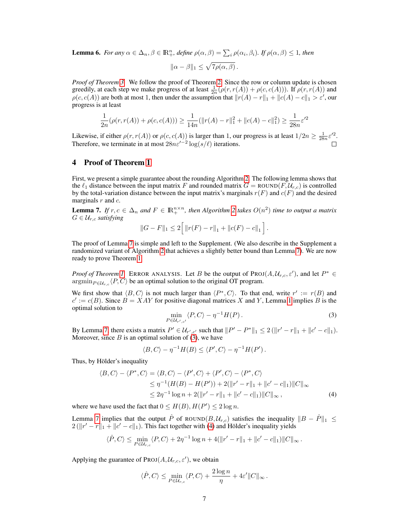**Lemma 6.** *For any*  $\alpha \in \Delta_n$ ,  $\beta \in \mathbb{R}^n_+$ , define  $\rho(\alpha, \beta) = \sum_i \rho(\alpha_i, \beta_i)$ . If  $\rho(\alpha, \beta) \leq 1$ , then

$$
\|\alpha - \beta\|_1 \le \sqrt{7\rho(\alpha, \beta)}.
$$

*Proof of Theorem 3.* We follow the proof of Theorem 2. Since the row or column update is chosen greedily, at each step we make progress of at least  $\frac{1}{2n}(\rho(r,r(A)) + \rho(c,c(A)))$ . If  $\rho(r,r(A))$  and  $\rho(c, c(A))$  are both at most 1, then under the assumption that  $||r(A) - r||_1 + ||c(A) - c||_1 > \varepsilon'$ , our progress is at least

$$
\frac{1}{2n}(\rho(r,r(A)) + \rho(c,c(A))) \ge \frac{1}{14n}(\|r(A) - r\|_1^2 + \|c(A) - c\|_1^2) \ge \frac{1}{28n}\varepsilon'^2
$$

Likewise, if either  $\rho(r, r(A))$  or  $\rho(c, c(A))$  is larger than 1, our progress is at least  $1/2n \ge \frac{1}{28n} \varepsilon'^2$ . Therefore, we terminate in at most  $28n\varepsilon'^{-2}\log(s/\ell)$  iterations.

# 4 Proof of Theorem 1

First, we present a simple guarantee about the rounding Algorithm 2. The following lemma shows that the  $\ell_1$  distance between the input matrix F and rounded matrix  $G = \text{ROUND}(F, \mathcal{U}_{r,c})$  is controlled by the total-variation distance between the input matrix's marginals  $r(F)$  and  $c(F)$  and the desired marginals  $r$  and  $c$ .

**Lemma 7.** If  $r, c \in \Delta_n$  and  $F \in \mathbb{R}_+^{n \times n}$ , then Algorithm 2 takes  $O(n^2)$  time to output a matrix  $G \in \mathcal{U}_{r,c}$  *satisfying* 

$$
||G - F||_1 \le 2 \Big[ ||r(F) - r||_1 + ||c(F) - c||_1 \Big].
$$

The proof of Lemma 7 is simple and left to the Supplement. (We also describe in the Supplement a randomized variant of Algorithm 2 that achieves a slightly better bound than Lemma 7). We are now ready to prove Theorem 1.

*Proof of Theorem 1.* ERROR ANALYSIS. Let B be the output of  $PROJ(A, \mathcal{U}_{r,c}, \varepsilon')$ , and let  $P^* \in$  $\operatorname{argmin}_{P \in \mathcal{U}_{r,c}} \langle P, C \rangle$  be an optimal solution to the original OT program.

We first show that  $\langle B, C \rangle$  is not much larger than  $\langle P^*, C \rangle$ . To that end, write  $r' := r(B)$  and  $c' := c(B)$ . Since  $B = XAY$  for positive diagonal matrices X and Y, Lemma 1 implies B is the optimal solution to

$$
\min_{P \in \mathcal{U}_{r',c'}} \langle P, C \rangle - \eta^{-1} H(P) \,. \tag{3}
$$

By Lemma 7, there exists a matrix  $P' \in \mathcal{U}_{r',c'}$  such that  $||P' - P^*||_1 \leq 2(||r' - r||_1 + ||c' - c||_1)$ . Moreover, since  $B$  is an optimal solution of (3), we have

$$
\langle B, C \rangle - \eta^{-1} H(B) \le \langle P', C \rangle - \eta^{-1} H(P').
$$

Thus, by Hölder's inequality

$$
\langle B, C \rangle - \langle P^*, C \rangle = \langle B, C \rangle - \langle P', C \rangle + \langle P', C \rangle - \langle P^*, C \rangle
$$
  
\n
$$
\leq \eta^{-1} (H(B) - H(P')) + 2(\|r' - r\|_1 + \|c' - c\|_1) \|C\|_{\infty}
$$
  
\n
$$
\leq 2\eta^{-1} \log n + 2(\|r' - r\|_1 + \|c' - c\|_1) \|C\|_{\infty},
$$
\n(4)

where we have used the fact that  $0 \leq H(B), H(P') \leq 2 \log n$ .

Lemma 7 implies that the output  $\hat{P}$  of ROUND( $B, U_{r,c}$ ) satisfies the inequality  $||B - \hat{P}||_1 \leq$  $2(||r' - r||_1 + ||c' - c||_1)$ . This fact together with (4) and Hölder's inequality yields

$$
\langle \hat{P}, C \rangle \le \min_{P \in \mathcal{U}_{r,c}} \langle P, C \rangle + 2\eta^{-1} \log n + 4(||r' - r||_1 + ||c' - c||_1) ||C||_{\infty}.
$$

Applying the guarantee of  $\text{Proj}(A, \mathcal{U}_{r,c}, \varepsilon')$ , we obtain

$$
\langle \hat{P}, C \rangle \le \min_{P \in \mathcal{U}_{r,c}} \langle P, C \rangle + \frac{2 \log n}{\eta} + 4\varepsilon' \| C \|_{\infty}.
$$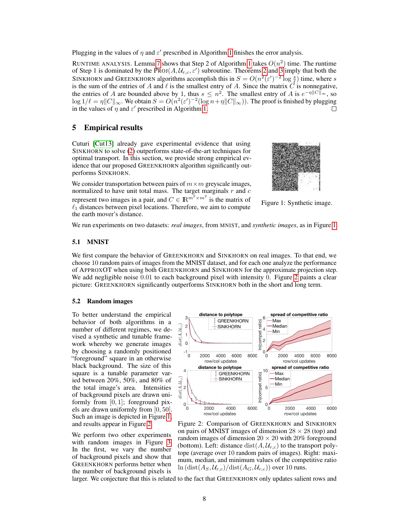Plugging in the values of  $\eta$  and  $\varepsilon'$  prescribed in Algorithm 1 finishes the error analysis.

RUNTIME ANALYSIS. Lemma 7 shows that Step 2 of Algorithm 1 takes  $O(n^2)$  time. The runtime of Step 1 is dominated by the PROJ $(A, \mathcal{U}_{r,c}, \varepsilon')$  subroutine. Theorems 2 and 3 imply that both the SINKHORN and GREENKHORN algorithms accomplish this in  $S = O(n^2(\epsilon')^{-2} \log \frac{s}{\ell})$  time, where s is the sum of the entries of A and  $\ell$  is the smallest entry of A. Since the matrix  $\vec{C}$  is nonnegative, the entries of A are bounded above by 1, thus  $s \leq n^2$ . The smallest entry of A is  $e^{-\eta \|C\|_{\infty}}$ , so  $\log 1/\ell = \eta \|C\|_\infty$ . We obtain  $S = O(n^2(\varepsilon')^{-2}(\log n+\eta \|C\|_\infty))$ . The proof is finished by plugging in the values of  $\eta$  and  $\varepsilon'$  prescribed in Algorithm 1.  $\Box$ 

# 5 Empirical results

Cuturi [Cut13] already gave experimental evidence that using SINKHORN to solve (2) outperforms state-of-the-art techniques for optimal transport. In this section, we provide strong empirical evidence that our proposed GREENKHORN algorithm significantly outperforms SINKHORN.

We consider transportation between pairs of  $m \times m$  greyscale images, normalized to have unit total mass. The target marginals  $r$  and  $c$ represent two images in a pair, and  $C \in \mathbb{R}^{m^2 \times m^2}$  is the matrix of  $\ell_1$  distances between pixel locations. Therefore, we aim to compute the earth mover's distance.



Figure 1: Synthetic image.

We run experiments on two datasets: *real images*, from MNIST, and *synthetic images*, as in Figure 1.

# 5.1 MNIST

We first compare the behavior of GREENKHORN and SINKHORN on real images. To that end, we choose 10 random pairs of images from the MNIST dataset, and for each one analyze the performance of APPROXOT when using both GREENKHORN and SINKHORN for the approximate projection step. We add negligible noise  $0.01$  to each background pixel with intensity 0. Figure 2 paints a clear picture: GREENKHORN significantly outperforms SINKHORN both in the short and long term.

### 5.2 Random images

To better understand the empirical behavior of both algorithms in a number of different regimes, we devised a synthetic and tunable framework whereby we generate images by choosing a randomly positioned "foreground" square in an otherwise black background. The size of this square is a tunable parameter varied between 20%, 50%, and 80% of the total image's area. Intensities of background pixels are drawn uniformly from  $[0, 1]$ ; foreground pixels are drawn uniformly from [0, 50]. Such an image is depicted in Figure 1, and results appear in Figure 2.

We perform two other experiments with random images in Figure 3. In the first, we vary the number of background pixels and show that GREENKHORN performs better when the number of background pixels is



Figure 2: Comparison of GREENKHORN and SINKHORN on pairs of MNIST images of dimension  $28 \times 28$  (top) and random images of dimension  $20 \times 20$  with  $20\%$  foreground (bottom). Left: distance  $dist(A, U_{r,c})$  to the transport polytope (average over 10 random pairs of images). Right: maximum, median, and minimum values of the competitive ratio  $\ln(\text{dist}(A_S, \mathcal{U}_{r,c})/\text{dist}(A_G, \mathcal{U}_{r,c}))$  over 10 runs.

larger. We conjecture that this is related to the fact that GREENKHORN only updates salient rows and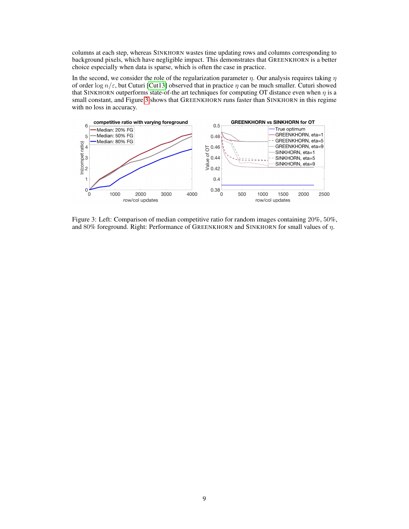columns at each step, whereas SINKHORN wastes time updating rows and columns corresponding to background pixels, which have negligible impact. This demonstrates that GREENKHORN is a better choice especially when data is sparse, which is often the case in practice.

In the second, we consider the role of the regularization parameter  $\eta$ . Our analysis requires taking  $\eta$ of order log  $n/\varepsilon$ , but Cuturi [Cut13] observed that in practice  $\eta$  can be much smaller. Cuturi showed that SINKHORN outperforms state-of-the art techniques for computing OT distance even when  $\eta$  is a small constant, and Figure 3 shows that GREENKHORN runs faster than SINKHORN in this regime with no loss in accuracy.



Figure 3: Left: Comparison of median competitive ratio for random images containing 20%, 50%, and 80% foreground. Right: Performance of GREENKHORN and SINKHORN for small values of  $\eta$ .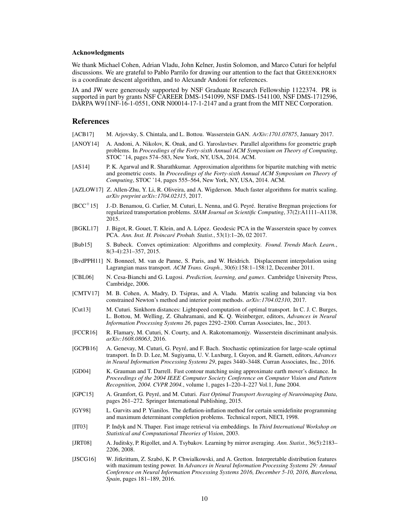#### Acknowledgments

We thank Michael Cohen, Adrian Vladu, John Kelner, Justin Solomon, and Marco Cuturi for helpful discussions. We are grateful to Pablo Parrilo for drawing our attention to the fact that GREENKHORN is a coordinate descent algorithm, and to Alexandr Andoni for references.

JA and JW were generously supported by NSF Graduate Research Fellowship 1122374. PR is supported in part by grants NSF CAREER DMS-1541099, NSF DMS-1541100, NSF DMS-1712596, DARPA W911NF-16-1-0551, ONR N00014-17-1-2147 and a grant from the MIT NEC Corporation.

## References

- [ACB17] M. Arjovsky, S. Chintala, and L. Bottou. Wasserstein GAN. *ArXiv:1701.07875*, January 2017.
- [ANOY14] A. Andoni, A. Nikolov, K. Onak, and G. Yaroslavtsev. Parallel algorithms for geometric graph problems. In *Proceedings of the Forty-sixth Annual ACM Symposium on Theory of Computing*, STOC '14, pages 574–583, New York, NY, USA, 2014. ACM.
- [AS14] P. K. Agarwal and R. Sharathkumar. Approximation algorithms for bipartite matching with metric and geometric costs. In *Proceedings of the Forty-sixth Annual ACM Symposium on Theory of Computing*, STOC '14, pages 555–564, New York, NY, USA, 2014. ACM.
- [AZLOW17] Z. Allen-Zhu, Y. Li, R. Oliveira, and A. Wigderson. Much faster algorithms for matrix scaling. *arXiv preprint arXiv:1704.02315*, 2017.
- [BCC<sup>+</sup>15] J.-D. Benamou, G. Carlier, M. Cuturi, L. Nenna, and G. Peyré. Iterative Bregman projections for regularized transportation problems. *SIAM Journal on Scientific Computing*, 37(2):A1111–A1138, 2015.
- [BGKL17] J. Bigot, R. Gouet, T. Klein, and A. López. Geodesic PCA in the Wasserstein space by convex PCA. *Ann. Inst. H. Poincaré Probab. Statist.*, 53(1):1–26, 02 2017.
- [Bub15] S. Bubeck. Convex optimization: Algorithms and complexity. *Found. Trends Mach. Learn.*, 8(3-4):231–357, 2015.
- [BvdPPH11] N. Bonneel, M. van de Panne, S. Paris, and W. Heidrich. Displacement interpolation using Lagrangian mass transport. *ACM Trans. Graph.*, 30(6):158:1–158:12, December 2011.
- [CBL06] N. Cesa-Bianchi and G. Lugosi. *Prediction, learning, and games*. Cambridge University Press, Cambridge, 2006.
- [CMTV17] M. B. Cohen, A. Madry, D. Tsipras, and A. Vladu. Matrix scaling and balancing via box constrained Newton's method and interior point methods. *arXiv:1704.02310*, 2017.
- [Cut13] M. Cuturi. Sinkhorn distances: Lightspeed computation of optimal transport. In C. J. C. Burges, L. Bottou, M. Welling, Z. Ghahramani, and K. Q. Weinberger, editors, *Advances in Neural Information Processing Systems 26*, pages 2292–2300. Curran Associates, Inc., 2013.
- [FCCR16] R. Flamary, M. Cuturi, N. Courty, and A. Rakotomamonjy. Wasserstein discriminant analysis. *arXiv:1608.08063*, 2016.
- [GCPB16] A. Genevay, M. Cuturi, G. Peyré, and F. Bach. Stochastic optimization for large-scale optimal transport. In D. D. Lee, M. Sugiyama, U. V. Luxburg, I. Guyon, and R. Garnett, editors, *Advances in Neural Information Processing Systems 29*, pages 3440–3448. Curran Associates, Inc., 2016.
- [GD04] K. Grauman and T. Darrell. Fast contour matching using approximate earth mover's distance. In *Proceedings of the 2004 IEEE Computer Society Conference on Computer Vision and Pattern Recognition, 2004. CVPR 2004.*, volume 1, pages I–220–I–227 Vol.1, June 2004.
- [GPC15] A. Gramfort, G. Peyré, and M. Cuturi. *Fast Optimal Transport Averaging of Neuroimaging Data*, pages 261–272. Springer International Publishing, 2015.
- [GY98] L. Gurvits and P. Yianilos. The deflation-inflation method for certain semidefinite programming and maximum determinant completion problems. Technical report, NECI, 1998.
- [IT03] P. Indyk and N. Thaper. Fast image retrieval via embeddings. In *Third International Workshop on Statistical and Computational Theories of Vision*, 2003.
- [JRT08] A. Juditsky, P. Rigollet, and A. Tsybakov. Learning by mirror averaging. *Ann. Statist.*, 36(5):2183– 2206, 2008.
- [JSCG16] W. Jitkrittum, Z. Szabó, K. P. Chwialkowski, and A. Gretton. Interpretable distribution features with maximum testing power. In *Advances in Neural Information Processing Systems 29: Annual Conference on Neural Information Processing Systems 2016, December 5-10, 2016, Barcelona, Spain*, pages 181–189, 2016.